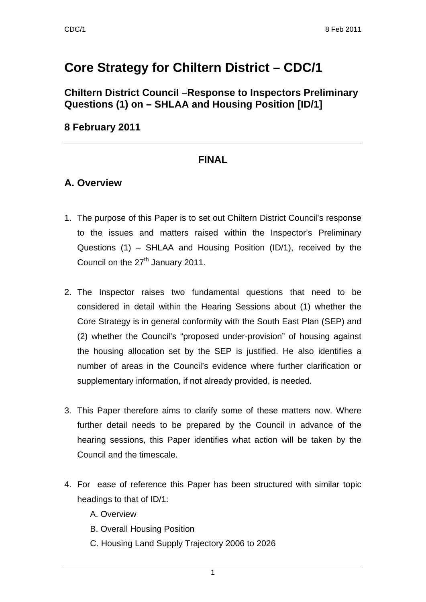# **Core Strategy for Chiltern District – CDC/1**

**Chiltern District Council –Response to Inspectors Preliminary Questions (1) on – SHLAA and Housing Position [ID/1]** 

### **8 February 2011**

# **FINAL**

### **A. Overview**

- 1. The purpose of this Paper is to set out Chiltern District Council's response to the issues and matters raised within the Inspector's Preliminary Questions (1) – SHLAA and Housing Position (ID/1), received by the Council on the  $27<sup>th</sup>$  January 2011.
- 2. The Inspector raises two fundamental questions that need to be considered in detail within the Hearing Sessions about (1) whether the Core Strategy is in general conformity with the South East Plan (SEP) and (2) whether the Council's "proposed under-provision" of housing against the housing allocation set by the SEP is justified. He also identifies a number of areas in the Council's evidence where further clarification or supplementary information, if not already provided, is needed.
- 3. This Paper therefore aims to clarify some of these matters now. Where further detail needs to be prepared by the Council in advance of the hearing sessions, this Paper identifies what action will be taken by the Council and the timescale.
- 4. For ease of reference this Paper has been structured with similar topic headings to that of ID/1:
	- A. Overview
	- B. Overall Housing Position
	- C. Housing Land Supply Trajectory 2006 to 2026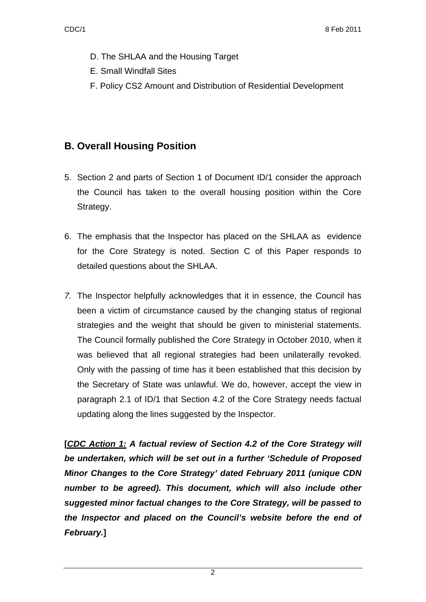- D. The SHLAA and the Housing Target
- E. Small Windfall Sites
- F. Policy CS2 Amount and Distribution of Residential Development

# **B. Overall Housing Position**

- 5. Section 2 and parts of Section 1 of Document ID/1 consider the approach the Council has taken to the overall housing position within the Core Strategy.
- 6. The emphasis that the Inspector has placed on the SHLAA as evidence for the Core Strategy is noted. Section C of this Paper responds to detailed questions about the SHLAA.
- *7.* The Inspector helpfully acknowledges that it in essence, the Council has been a victim of circumstance caused by the changing status of regional strategies and the weight that should be given to ministerial statements. The Council formally published the Core Strategy in October 2010, when it was believed that all regional strategies had been unilaterally revoked. Only with the passing of time has it been established that this decision by the Secretary of State was unlawful. We do, however, accept the view in paragraph 2.1 of ID/1 that Section 4.2 of the Core Strategy needs factual updating along the lines suggested by the Inspector.

**[***CDC Action 1: A factual review of Section 4.2 of the Core Strategy will be undertaken, which will be set out in a further 'Schedule of Proposed Minor Changes to the Core Strategy' dated February 2011 (unique CDN number to be agreed). This document, which will also include other suggested minor factual changes to the Core Strategy, will be passed to the Inspector and placed on the Council's website before the end of February.***]**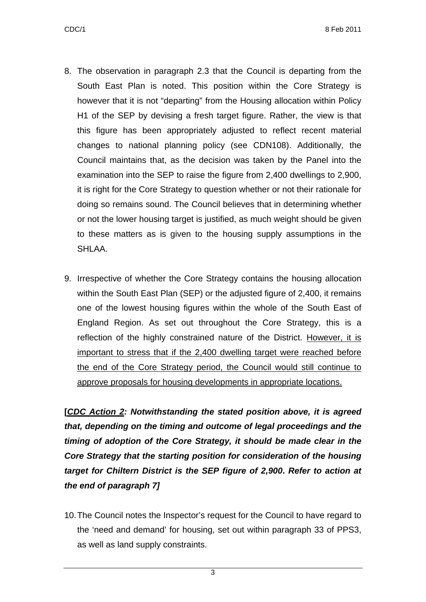- 8. The observation in paragraph 2.3 that the Council is departing from the South East Plan is noted. This position within the Core Strategy is however that it is not "departing" from the Housing allocation within Policy H1 of the SEP by devising a fresh target figure. Rather, the view is that this figure has been appropriately adjusted to reflect recent material changes to national planning policy (see CDN108). Additionally, the Council maintains that, as the decision was taken by the Panel into the examination into the SEP to raise the figure from 2,400 dwellings to 2,900, it is right for the Core Strategy to question whether or not their rationale for doing so remains sound. The Council believes that in determining whether or not the lower housing target is justified, as much weight should be given to these matters as is given to the housing supply assumptions in the SHLAA.
- 9. Irrespective of whether the Core Strategy contains the housing allocation within the South East Plan (SEP) or the adjusted figure of 2,400, it remains one of the lowest housing figures within the whole of the South East of England Region. As set out throughout the Core Strategy, this is a reflection of the highly constrained nature of the District. However, it is important to stress that if the 2,400 dwelling target were reached before the end of the Core Strategy period, the Council would still continue to approve proposals for housing developments in appropriate locations.

**[***CDC Action 2: Notwithstanding the stated position above, it is agreed that, depending on the timing and outcome of legal proceedings and the timing of adoption of the Core Strategy, it should be made clear in the Core Strategy that the starting position for consideration of the housing target for Chiltern District is the SEP figure of 2,900***.** *Refer to action at the end of paragraph 7]*

10. The Council notes the Inspector's request for the Council to have regard to the 'need and demand' for housing, set out within paragraph 33 of PPS3, as well as land supply constraints.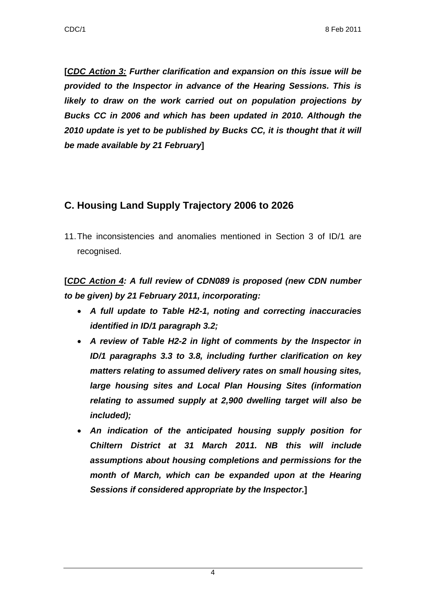**[***CDC Action 3: Further clarification and expansion on this issue will be provided to the Inspector in advance of the Hearing Sessions. This is likely to draw on the work carried out on population projections by Bucks CC in 2006 and which has been updated in 2010. Although the 2010 update is yet to be published by Bucks CC, it is thought that it will be made available by 21 February***]** 

# **C. Housing Land Supply Trajectory 2006 to 2026**

11. The inconsistencies and anomalies mentioned in Section 3 of ID/1 are recognised.

**[***CDC Action 4: A full review of CDN089 is proposed (new CDN number to be given) by 21 February 2011, incorporating:* 

- *A full update to Table H2-1, noting and correcting inaccuracies identified in ID/1 paragraph 3.2;*
- *A review of Table H2-2 in light of comments by the Inspector in ID/1 paragraphs 3.3 to 3.8, including further clarification on key matters relating to assumed delivery rates on small housing sites, large housing sites and Local Plan Housing Sites (information relating to assumed supply at 2,900 dwelling target will also be included);*
- *An indication of the anticipated housing supply position for Chiltern District at 31 March 2011. NB this will include assumptions about housing completions and permissions for the month of March, which can be expanded upon at the Hearing Sessions if considered appropriate by the Inspector.***]**

4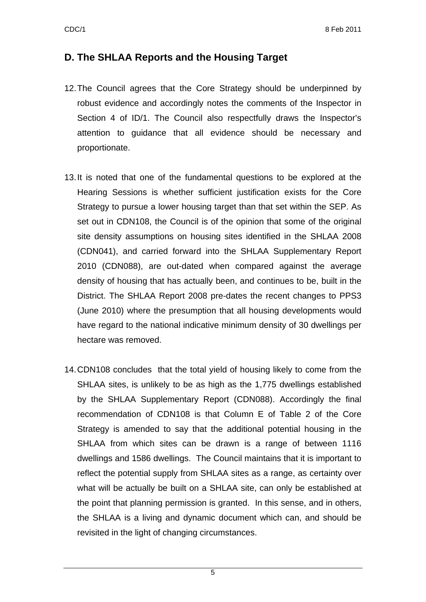#### **D. The SHLAA Reports and the Housing Target**

- 12. The Council agrees that the Core Strategy should be underpinned by robust evidence and accordingly notes the comments of the Inspector in Section 4 of ID/1. The Council also respectfully draws the Inspector's attention to guidance that all evidence should be necessary and proportionate.
- 13. It is noted that one of the fundamental questions to be explored at the Hearing Sessions is whether sufficient justification exists for the Core Strategy to pursue a lower housing target than that set within the SEP. As set out in CDN108, the Council is of the opinion that some of the original site density assumptions on housing sites identified in the SHLAA 2008 (CDN041), and carried forward into the SHLAA Supplementary Report 2010 (CDN088), are out-dated when compared against the average density of housing that has actually been, and continues to be, built in the District. The SHLAA Report 2008 pre-dates the recent changes to PPS3 (June 2010) where the presumption that all housing developments would have regard to the national indicative minimum density of 30 dwellings per hectare was removed.
- 14. CDN108 concludes that the total yield of housing likely to come from the SHLAA sites, is unlikely to be as high as the 1,775 dwellings established by the SHLAA Supplementary Report (CDN088). Accordingly the final recommendation of CDN108 is that Column E of Table 2 of the Core Strategy is amended to say that the additional potential housing in the SHLAA from which sites can be drawn is a range of between 1116 dwellings and 1586 dwellings. The Council maintains that it is important to reflect the potential supply from SHLAA sites as a range, as certainty over what will be actually be built on a SHLAA site, can only be established at the point that planning permission is granted. In this sense, and in others, the SHLAA is a living and dynamic document which can, and should be revisited in the light of changing circumstances.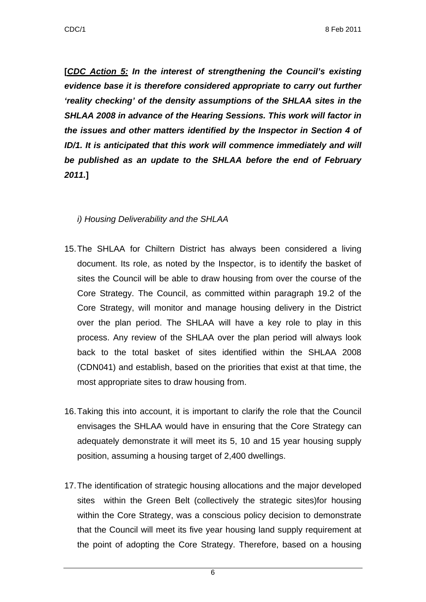**[***CDC Action 5: In the interest of strengthening the Council's existing evidence base it is therefore considered appropriate to carry out further 'reality checking' of the density assumptions of the SHLAA sites in the SHLAA 2008 in advance of the Hearing Sessions. This work will factor in the issues and other matters identified by the Inspector in Section 4 of ID/1. It is anticipated that this work will commence immediately and will be published as an update to the SHLAA before the end of February 2011.***]** 

#### *i) Housing Deliverability and the SHLAA*

- 15. The SHLAA for Chiltern District has always been considered a living document. Its role, as noted by the Inspector, is to identify the basket of sites the Council will be able to draw housing from over the course of the Core Strategy. The Council, as committed within paragraph 19.2 of the Core Strategy, will monitor and manage housing delivery in the District over the plan period. The SHLAA will have a key role to play in this process. Any review of the SHLAA over the plan period will always look back to the total basket of sites identified within the SHLAA 2008 (CDN041) and establish, based on the priorities that exist at that time, the most appropriate sites to draw housing from.
- 16. Taking this into account, it is important to clarify the role that the Council envisages the SHLAA would have in ensuring that the Core Strategy can adequately demonstrate it will meet its 5, 10 and 15 year housing supply position, assuming a housing target of 2,400 dwellings.
- 17. The identification of strategic housing allocations and the major developed sites within the Green Belt (collectively the strategic sites)for housing within the Core Strategy, was a conscious policy decision to demonstrate that the Council will meet its five year housing land supply requirement at the point of adopting the Core Strategy. Therefore, based on a housing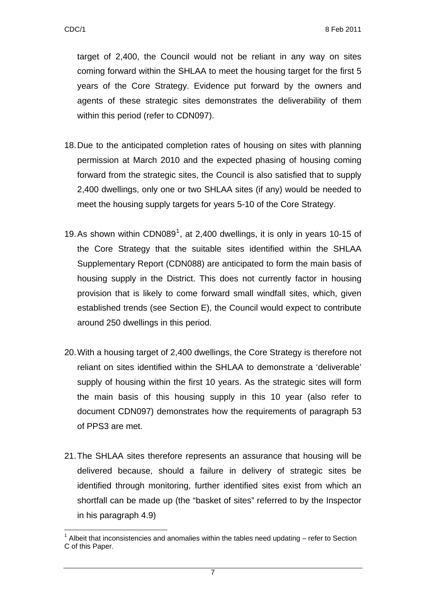target of 2,400, the Council would not be reliant in any way on sites coming forward within the SHLAA to meet the housing target for the first 5 years of the Core Strategy. Evidence put forward by the owners and agents of these strategic sites demonstrates the deliverability of them within this period (refer to CDN097).

- 18. Due to the anticipated completion rates of housing on sites with planning permission at March 2010 and the expected phasing of housing coming forward from the strategic sites, the Council is also satisfied that to supply 2,400 dwellings, only one or two SHLAA sites (if any) would be needed to meet the housing supply targets for years 5-10 of the Core Strategy.
- [1](#page-6-0)9. As shown within CDN089<sup>1</sup>, at 2,400 dwellings, it is only in years 10-15 of the Core Strategy that the suitable sites identified within the SHLAA Supplementary Report (CDN088) are anticipated to form the main basis of housing supply in the District. This does not currently factor in housing provision that is likely to come forward small windfall sites, which, given established trends (see Section E), the Council would expect to contribute around 250 dwellings in this period.
- 20. With a housing target of 2,400 dwellings, the Core Strategy is therefore not reliant on sites identified within the SHLAA to demonstrate a 'deliverable' supply of housing within the first 10 years. As the strategic sites will form the main basis of this housing supply in this 10 year (also refer to document CDN097) demonstrates how the requirements of paragraph 53 of PPS3 are met.
- 21. The SHLAA sites therefore represents an assurance that housing will be delivered because, should a failure in delivery of strategic sites be identified through monitoring, further identified sites exist from which an shortfall can be made up (the "basket of sites" referred to by the Inspector in his paragraph 4.9)

<span id="page-6-0"></span><sup>&</sup>lt;u>.</u>  $1$  Albeit that inconsistencies and anomalies within the tables need updating  $-$  refer to Section C of this Paper.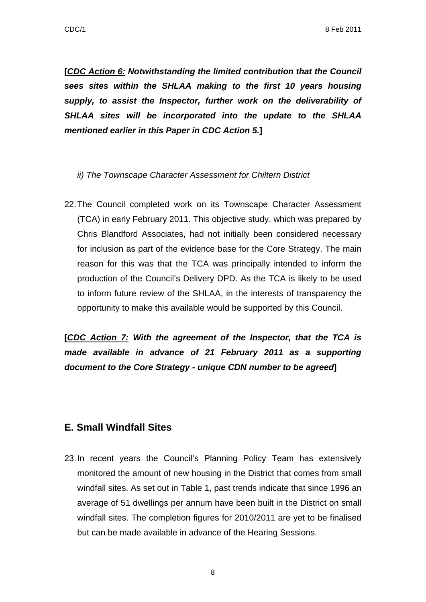**[***CDC Action 6: Notwithstanding the limited contribution that the Council sees sites within the SHLAA making to the first 10 years housing supply, to assist the Inspector, further work on the deliverability of SHLAA sites will be incorporated into the update to the SHLAA mentioned earlier in this Paper in CDC Action 5.***]** 

#### *ii) The Townscape Character Assessment for Chiltern District*

22. The Council completed work on its Townscape Character Assessment (TCA) in early February 2011. This objective study, which was prepared by Chris Blandford Associates, had not initially been considered necessary for inclusion as part of the evidence base for the Core Strategy. The main reason for this was that the TCA was principally intended to inform the production of the Council's Delivery DPD. As the TCA is likely to be used to inform future review of the SHLAA, in the interests of transparency the opportunity to make this available would be supported by this Council.

**[***CDC Action 7: With the agreement of the Inspector, that the TCA is made available in advance of 21 February 2011 as a supporting document to the Core Strategy - unique CDN number to be agreed***]** 

# **E. Small Windfall Sites**

23. In recent years the Council's Planning Policy Team has extensively monitored the amount of new housing in the District that comes from small windfall sites. As set out in Table 1, past trends indicate that since 1996 an average of 51 dwellings per annum have been built in the District on small windfall sites. The completion figures for 2010/2011 are yet to be finalised but can be made available in advance of the Hearing Sessions.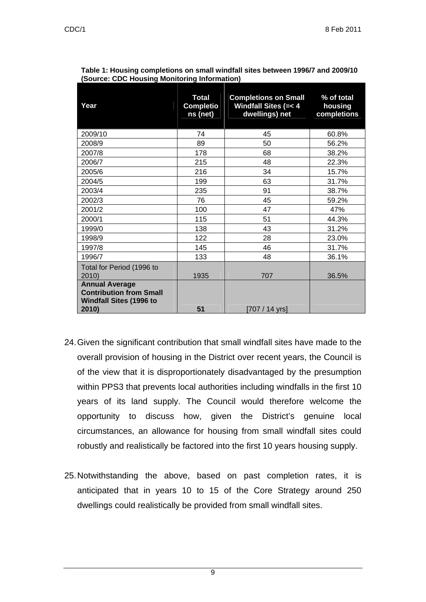| Year                                                                                               | <b>Total</b><br><b>Completio</b><br>ns (net) | <b>Completions on Small</b><br><b>Windfall Sites (=&lt; 4</b><br>dwellings) net | % of total<br>housing<br>completions |
|----------------------------------------------------------------------------------------------------|----------------------------------------------|---------------------------------------------------------------------------------|--------------------------------------|
| 2009/10                                                                                            | 74                                           | 45                                                                              | 60.8%                                |
| 2008/9                                                                                             | 89                                           | 50                                                                              | 56.2%                                |
| 2007/8                                                                                             | 178                                          | 68                                                                              | 38.2%                                |
| 2006/7                                                                                             | 215                                          | 48                                                                              | 22.3%                                |
| 2005/6                                                                                             | 216                                          | 34                                                                              | 15.7%                                |
| 2004/5                                                                                             | 199                                          | 63                                                                              | 31.7%                                |
| 2003/4                                                                                             | 235                                          | 91                                                                              | 38.7%                                |
| 2002/3                                                                                             | 76                                           | 45                                                                              | 59.2%                                |
| 2001/2                                                                                             | 100                                          | 47                                                                              | 47%                                  |
| 2000/1                                                                                             | 115                                          | 51                                                                              | 44.3%                                |
| 1999/0                                                                                             | 138                                          | 43                                                                              | 31.2%                                |
| 1998/9                                                                                             | 122                                          | 28                                                                              | 23.0%                                |
| 1997/8                                                                                             | 145                                          | 46                                                                              | 31.7%                                |
| 1996/7                                                                                             | 133                                          | 48                                                                              | 36.1%                                |
| Total for Period (1996 to<br>2010)                                                                 | 1935                                         | 707                                                                             | 36.5%                                |
| <b>Annual Average</b><br><b>Contribution from Small</b><br><b>Windfall Sites (1996 to</b><br>2010) | 51                                           | [707 / 14 yrs]                                                                  |                                      |

| Table 1: Housing completions on small windfall sites between 1996/7 and 2009/10 |
|---------------------------------------------------------------------------------|
| (Source: CDC Housing Monitoring Information)                                    |

- 24. Given the significant contribution that small windfall sites have made to the overall provision of housing in the District over recent years, the Council is of the view that it is disproportionately disadvantaged by the presumption within PPS3 that prevents local authorities including windfalls in the first 10 years of its land supply. The Council would therefore welcome the opportunity to discuss how, given the District's genuine local circumstances, an allowance for housing from small windfall sites could robustly and realistically be factored into the first 10 years housing supply.
- 25. Notwithstanding the above, based on past completion rates, it is anticipated that in years 10 to 15 of the Core Strategy around 250 dwellings could realistically be provided from small windfall sites.

9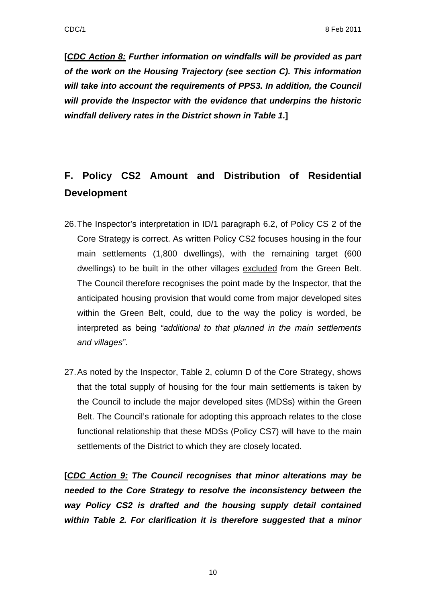**[***CDC Action 8: Further information on windfalls will be provided as part of the work on the Housing Trajectory (see section C). This information will take into account the requirements of PPS3. In addition, the Council will provide the Inspector with the evidence that underpins the historic windfall delivery rates in the District shown in Table 1.***]** 

# **F. Policy CS2 Amount and Distribution of Residential Development**

- 26. The Inspector's interpretation in ID/1 paragraph 6.2, of Policy CS 2 of the Core Strategy is correct. As written Policy CS2 focuses housing in the four main settlements (1,800 dwellings), with the remaining target (600 dwellings) to be built in the other villages excluded from the Green Belt. The Council therefore recognises the point made by the Inspector, that the anticipated housing provision that would come from major developed sites within the Green Belt, could, due to the way the policy is worded, be interpreted as being *"additional to that planned in the main settlements and villages"*.
- 27. As noted by the Inspector, Table 2, column D of the Core Strategy, shows that the total supply of housing for the four main settlements is taken by the Council to include the major developed sites (MDSs) within the Green Belt. The Council's rationale for adopting this approach relates to the close functional relationship that these MDSs (Policy CS7) will have to the main settlements of the District to which they are closely located.

**[***CDC Action 9: The Council recognises that minor alterations may be needed to the Core Strategy to resolve the inconsistency between the way Policy CS2 is drafted and the housing supply detail contained within Table 2. For clarification it is therefore suggested that a minor*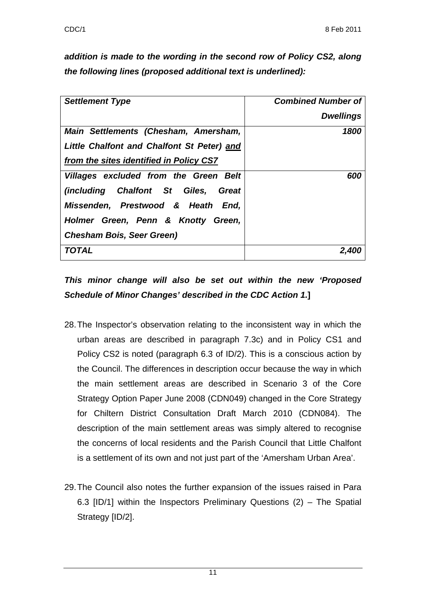*addition is made to the wording in the second row of Policy CS2, along the following lines (proposed additional text is underlined):* 

| <b>Settlement Type</b>                     | <b>Combined Number of</b> |
|--------------------------------------------|---------------------------|
|                                            | <b>Dwellings</b>          |
| Main Settlements (Chesham, Amersham,       | 1800                      |
| Little Chalfont and Chalfont St Peter) and |                           |
| from the sites identified in Policy CS7    |                           |
| Villages excluded from the Green Belt      | 600                       |
| (including Chalfont St Giles,<br>Great     |                           |
| Missenden, Prestwood & Heath End,          |                           |
| Holmer Green, Penn & Knotty Green,         |                           |
| <b>Chesham Bois, Seer Green)</b>           |                           |
| TOTAL                                      |                           |

# *This minor change will also be set out within the new 'Proposed Schedule of Minor Changes' described in the CDC Action 1.***]**

- 28. The Inspector's observation relating to the inconsistent way in which the urban areas are described in paragraph 7.3c) and in Policy CS1 and Policy CS2 is noted (paragraph 6.3 of ID/2). This is a conscious action by the Council. The differences in description occur because the way in which the main settlement areas are described in Scenario 3 of the Core Strategy Option Paper June 2008 (CDN049) changed in the Core Strategy for Chiltern District Consultation Draft March 2010 (CDN084). The description of the main settlement areas was simply altered to recognise the concerns of local residents and the Parish Council that Little Chalfont is a settlement of its own and not just part of the 'Amersham Urban Area'.
- 29. The Council also notes the further expansion of the issues raised in Para 6.3 [ID/1] within the Inspectors Preliminary Questions (2) – The Spatial Strategy [ID/2].